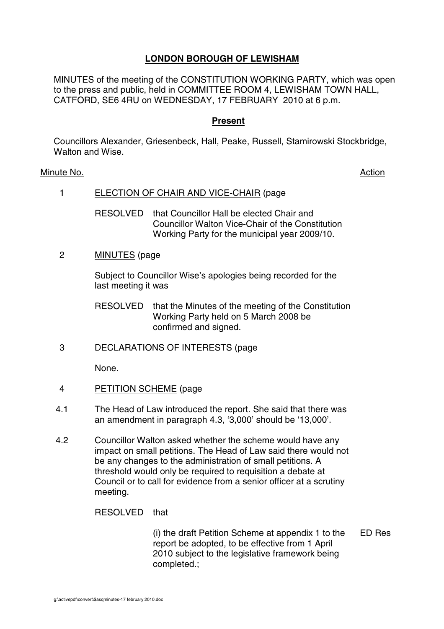# **LONDON BOROUGH OF LEWISHAM**

MINUTES of the meeting of the CONSTITUTION WORKING PARTY, which was open to the press and public, held in COMMITTEE ROOM 4, LEWISHAM TOWN HALL, CATFORD, SE6 4RU on WEDNESDAY, 17 FEBRUARY 2010 at 6 p.m.

### **Present**

Councillors Alexander, Griesenbeck, Hall, Peake, Russell, Stamirowski Stockbridge, Walton and Wise.

### Minute No. 2008 2012 2022 2023 2024 2022 2022 2023 2024 2022 2023 2024 2022 2023 2024 2022 2023 2024 2022 2023

# 1 ELECTION OF CHAIR AND VICE-CHAIR (page

RESOLVED that Councillor Hall be elected Chair and Councillor Walton Vice-Chair of the Constitution Working Party for the municipal year 2009/10.

### 2 MINUTES (page

Subject to Councillor Wise's apologies being recorded for the last meeting it was

RESOLVED that the Minutes of the meeting of the Constitution Working Party held on 5 March 2008 be confirmed and signed.

3 DECLARATIONS OF INTERESTS (page

None.

- 4 PETITION SCHEME (page
- 4.1 The Head of Law introduced the report. She said that there was an amendment in paragraph 4.3, '3,000' should be '13,000'.
- 4.2 Councillor Walton asked whether the scheme would have any impact on small petitions. The Head of Law said there would not be any changes to the administration of small petitions. A threshold would only be required to requisition a debate at Council or to call for evidence from a senior officer at a scrutiny meeting.

RESOLVED that

(i) the draft Petition Scheme at appendix 1 to the report be adopted, to be effective from 1 April 2010 subject to the legislative framework being completed.; ED Res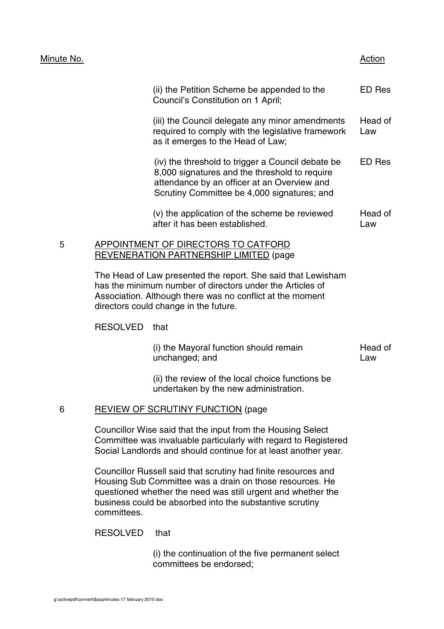### Minute No. 2008 2012 2022 2023 2024 2022 2022 2023 2024 2022 2023 2024 2022 2023 2024 2022 2023 2024 2022 2023

|   | (ii) the Petition Scheme be appended to the<br>Council's Constitution on 1 April;                                                                                                                | ED Res         |
|---|--------------------------------------------------------------------------------------------------------------------------------------------------------------------------------------------------|----------------|
|   | (iii) the Council delegate any minor amendments<br>required to comply with the legislative framework<br>as it emerges to the Head of Law;                                                        | Head of<br>Law |
|   | (iv) the threshold to trigger a Council debate be<br>8,000 signatures and the threshold to require<br>attendance by an officer at an Overview and<br>Scrutiny Committee be 4,000 signatures; and | ED Res         |
|   | (v) the application of the scheme be reviewed<br>after it has been established.                                                                                                                  | Head of<br>Law |
| 5 | INTMENT OF DIRECTORS TO CATFORD                                                                                                                                                                  |                |

# REVENERATION PARTNERSHIP LIMITED (page

The Head of Law presented the report. She said that Lewisham has the minimum number of directors under the Articles of Association. Although there was no conflict at the moment directors could change in the future.

# RESOLVED that

| (i) the Mayoral function should remain | Head of |
|----------------------------------------|---------|
| unchanged; and                         | Law     |

(ii) the review of the local choice functions be undertaken by the new administration.

# 6 REVIEW OF SCRUTINY FUNCTION (page

Councillor Wise said that the input from the Housing Select Committee was invaluable particularly with regard to Registered Social Landlords and should continue for at least another year.

Councillor Russell said that scrutiny had finite resources and Housing Sub Committee was a drain on those resources. He questioned whether the need was still urgent and whether the business could be absorbed into the substantive scrutiny committees.

# RESOLVED that

(i) the continuation of the five permanent select committees be endorsed;